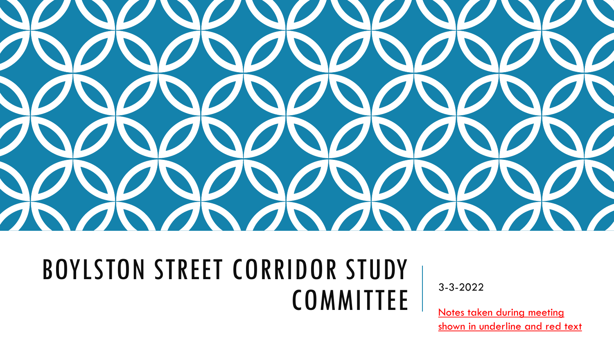

#### BOYLSTON STREET CORRIDOR STUDY  $COMMITEE$  3-3-2022

Notes taken during meeting shown in underline and red text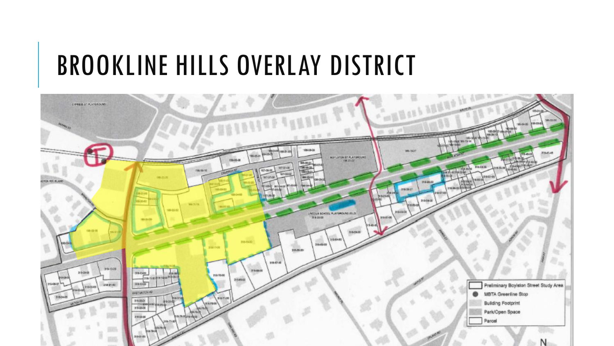#### BROOKLINE HILLS OVERLAY DISTRICT

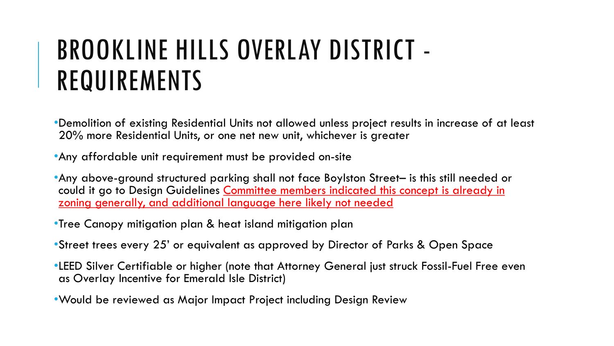# BROOKLINE HILLS OVERLAY DISTRICT - REQUIREMENTS

•Demolition of existing Residential Units not allowed unless project results in increase of at least 20% more Residential Units, or one net new unit, whichever is greater

•Any affordable unit requirement must be provided on-site

•Any above-ground structured parking shall not face Boylston Street– is this still needed or could it go to Design Guidelines Committee members indicated this concept is already in zoning generally, and additional language here likely not needed

•Tree Canopy mitigation plan & heat island mitigation plan

•Street trees every 25' or equivalent as approved by Director of Parks & Open Space

- •LEED Silver Certifiable or higher (note that Attorney General just struck Fossil-Fuel Free even as Overlay Incentive for Emerald Isle District)
- •Would be reviewed as Major Impact Project including Design Review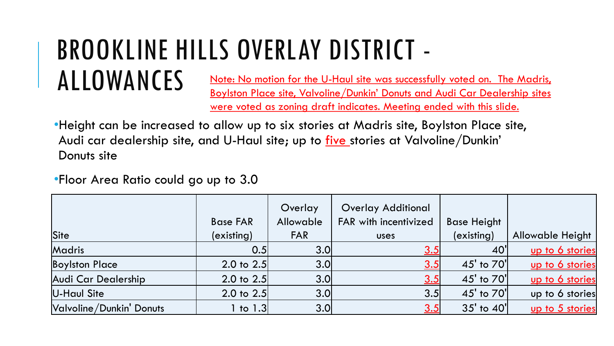#### BROOKLINE HILLS OVERLAY DISTRICT - ALLOWANCES Note: No motion for the U-Haul site was successfully voted on. The Madris,

Boylston Place site, Valvoline/Dunkin' Donuts and Audi Car Dealership sites were voted as zoning draft indicates. Meeting ended with this slide.

•Height can be increased to allow up to six stories at Madris site, Boylston Place site, Audi car dealership site, and U-Haul site; up to <u>five stories</u> at Valvoline/Dunkin' Donuts site

•Floor Area Ratio could go up to 3.0

|                          | <b>Base FAR</b>       | Overlay<br>Allowable | <b>Overlay Additional</b><br>FAR with incentivized | <b>Base Height</b> |                         |
|--------------------------|-----------------------|----------------------|----------------------------------------------------|--------------------|-------------------------|
| Site                     | (existing)            | <b>FAR</b>           | <b>USES</b>                                        | (existing)         | <b>Allowable Height</b> |
| Madris                   | 0.5                   | 3.0 <sub>l</sub>     | <u>3.5</u>                                         | 40'                | up to 6 stories         |
| <b>Boylston Place</b>    | 2.0 to $2.5$          | 3.0 <sub>l</sub>     | <u>3.5</u>                                         | 45' to 70'         | up to 6 stories         |
| Audi Car Dealership      | 2.0 to $2.5$          | 3.0 <sub>l</sub>     | <u>3.5</u>                                         | 45' to 70'         | up to 6 stories         |
| U-Haul Site              | $2.0 \text{ to } 2.5$ | 3.0 <sub>l</sub>     | 3.5                                                | 45' to 70'         | up to 6 stories         |
| Valvoline/Dunkin' Donuts | $1$ to $1.3$          | 3.0                  | <u>3.5</u>                                         | 35' to 40'         | up to 5 stories         |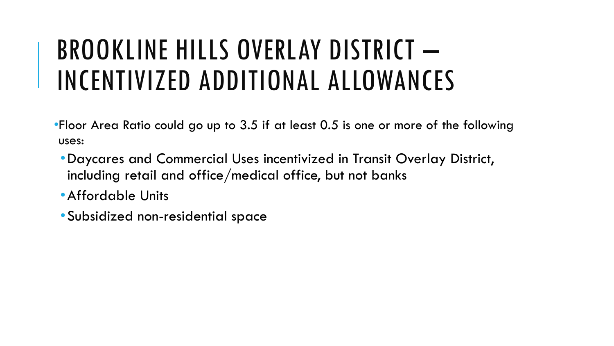# BROOKLINE HILLS OVERLAY DISTRICT – INCENTIVIZED ADDITIONAL ALLOWANCES

- •Floor Area Ratio could go up to 3.5 if at least 0.5 is one or more of the following uses:
	- •Daycares and Commercial Uses incentivized in Transit Overlay District, including retail and office/medical office, but not banks
	- •Affordable Units
	- •Subsidized non-residential space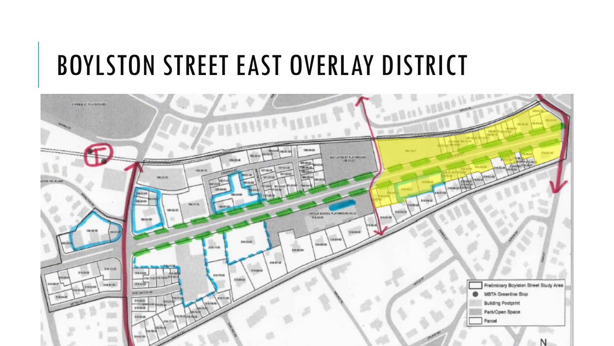#### BOYLSTON STREET EAST OVERLAY DISTRICT

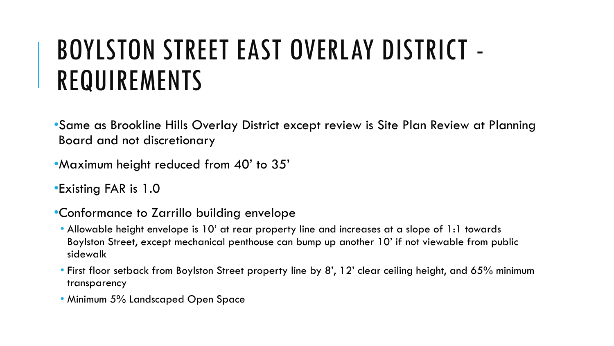# BOYLSTON STREET EAST OVERLAY DISTRICT - REQUIREMENTS

•Same as Brookline Hills Overlay District except review is Site Plan Review at Planning Board and not discretionary

- •Maximum height reduced from 40' to 35'
- •Existing FAR is 1.0
- •Conformance to Zarrillo building envelope
	- Allowable height envelope is 10' at rear property line and increases at a slope of 1:1 towards Boylston Street, except mechanical penthouse can bump up another 10' if not viewable from public sidewalk
	- First floor setback from Boylston Street property line by 8', 12' clear ceiling height, and 65% minimum transparency
	- Minimum 5% Landscaped Open Space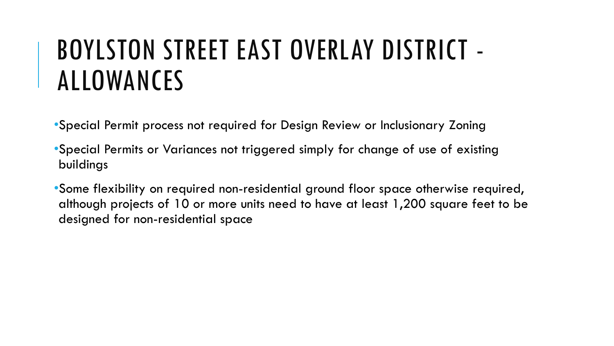### BOYLSTON STREET EAST OVERLAY DISTRICT - ALLOWANCES

•Special Permit process not required for Design Review or Inclusionary Zoning

•Special Permits or Variances not triggered simply for change of use of existing buildings

•Some flexibility on required non-residential ground floor space otherwise required, although projects of 10 or more units need to have at least 1,200 square feet to be designed for non-residential space